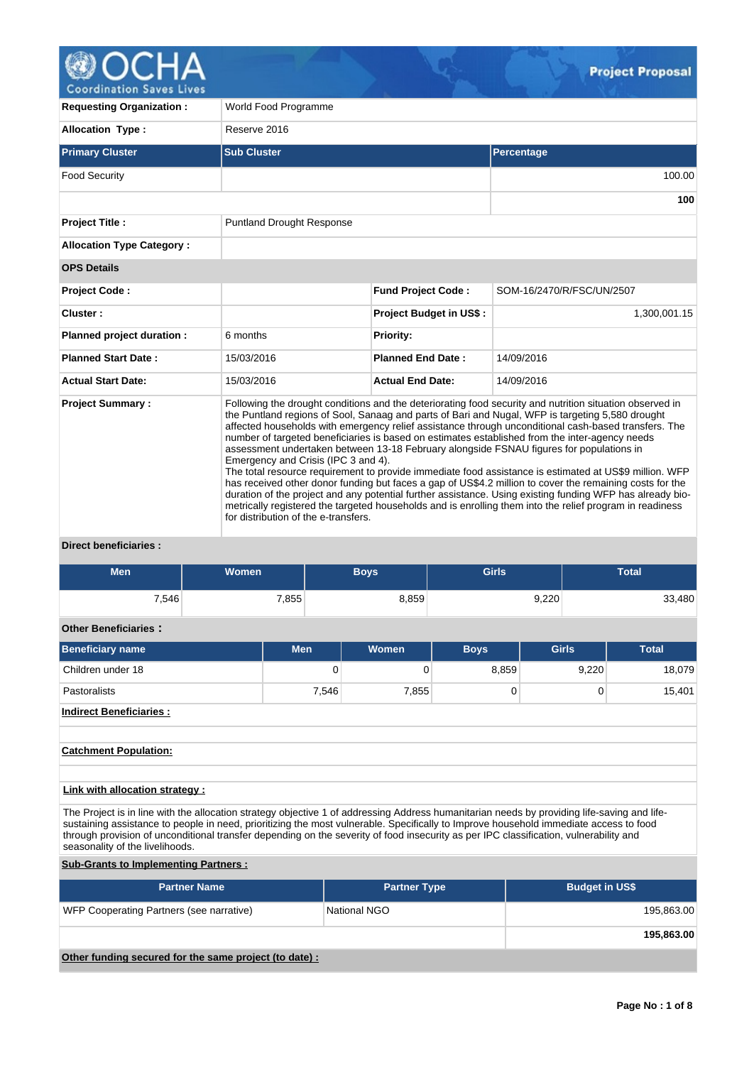

| <b>Requesting Organization:</b>                               | World Food Programme                                                                                                                                                                                                                                                                                                                                                                                                                                                                                                                                                                                                                                                                                                                                                                                                                                                                                                                                                                                                                            |                                |                           |  |  |  |  |  |  |
|---------------------------------------------------------------|-------------------------------------------------------------------------------------------------------------------------------------------------------------------------------------------------------------------------------------------------------------------------------------------------------------------------------------------------------------------------------------------------------------------------------------------------------------------------------------------------------------------------------------------------------------------------------------------------------------------------------------------------------------------------------------------------------------------------------------------------------------------------------------------------------------------------------------------------------------------------------------------------------------------------------------------------------------------------------------------------------------------------------------------------|--------------------------------|---------------------------|--|--|--|--|--|--|
| <b>Allocation Type:</b>                                       | Reserve 2016                                                                                                                                                                                                                                                                                                                                                                                                                                                                                                                                                                                                                                                                                                                                                                                                                                                                                                                                                                                                                                    |                                |                           |  |  |  |  |  |  |
| <b>Primary Cluster</b>                                        | <b>Sub Cluster</b>                                                                                                                                                                                                                                                                                                                                                                                                                                                                                                                                                                                                                                                                                                                                                                                                                                                                                                                                                                                                                              |                                | Percentage                |  |  |  |  |  |  |
| <b>Food Security</b>                                          |                                                                                                                                                                                                                                                                                                                                                                                                                                                                                                                                                                                                                                                                                                                                                                                                                                                                                                                                                                                                                                                 |                                | 100.00                    |  |  |  |  |  |  |
|                                                               |                                                                                                                                                                                                                                                                                                                                                                                                                                                                                                                                                                                                                                                                                                                                                                                                                                                                                                                                                                                                                                                 |                                | 100                       |  |  |  |  |  |  |
| <b>Project Title:</b>                                         | <b>Puntland Drought Response</b>                                                                                                                                                                                                                                                                                                                                                                                                                                                                                                                                                                                                                                                                                                                                                                                                                                                                                                                                                                                                                |                                |                           |  |  |  |  |  |  |
| <b>Allocation Type Category:</b>                              |                                                                                                                                                                                                                                                                                                                                                                                                                                                                                                                                                                                                                                                                                                                                                                                                                                                                                                                                                                                                                                                 |                                |                           |  |  |  |  |  |  |
| <b>OPS Details</b>                                            |                                                                                                                                                                                                                                                                                                                                                                                                                                                                                                                                                                                                                                                                                                                                                                                                                                                                                                                                                                                                                                                 |                                |                           |  |  |  |  |  |  |
| <b>Project Code:</b>                                          |                                                                                                                                                                                                                                                                                                                                                                                                                                                                                                                                                                                                                                                                                                                                                                                                                                                                                                                                                                                                                                                 | <b>Fund Project Code:</b>      | SOM-16/2470/R/FSC/UN/2507 |  |  |  |  |  |  |
| Cluster:                                                      |                                                                                                                                                                                                                                                                                                                                                                                                                                                                                                                                                                                                                                                                                                                                                                                                                                                                                                                                                                                                                                                 | <b>Project Budget in US\$:</b> | 1,300,001.15              |  |  |  |  |  |  |
| Planned project duration :                                    | 6 months                                                                                                                                                                                                                                                                                                                                                                                                                                                                                                                                                                                                                                                                                                                                                                                                                                                                                                                                                                                                                                        | <b>Priority:</b>               |                           |  |  |  |  |  |  |
| <b>Planned Start Date:</b>                                    | 15/03/2016                                                                                                                                                                                                                                                                                                                                                                                                                                                                                                                                                                                                                                                                                                                                                                                                                                                                                                                                                                                                                                      | <b>Planned End Date:</b>       | 14/09/2016                |  |  |  |  |  |  |
| <b>Actual Start Date:</b>                                     | 15/03/2016                                                                                                                                                                                                                                                                                                                                                                                                                                                                                                                                                                                                                                                                                                                                                                                                                                                                                                                                                                                                                                      | <b>Actual End Date:</b>        | 14/09/2016                |  |  |  |  |  |  |
| <b>Project Summary:</b><br>Police and the control of a family | Following the drought conditions and the deteriorating food security and nutrition situation observed in<br>the Puntland regions of Sool, Sanaag and parts of Bari and Nugal, WFP is targeting 5,580 drought<br>affected households with emergency relief assistance through unconditional cash-based transfers. The<br>number of targeted beneficiaries is based on estimates established from the inter-agency needs<br>assessment undertaken between 13-18 February alongside FSNAU figures for populations in<br>Emergency and Crisis (IPC 3 and 4).<br>The total resource requirement to provide immediate food assistance is estimated at US\$9 million. WFP<br>has received other donor funding but faces a gap of US\$4.2 million to cover the remaining costs for the<br>duration of the project and any potential further assistance. Using existing funding WFP has already bio-<br>metrically registered the targeted households and is enrolling them into the relief program in readiness<br>for distribution of the e-transfers. |                                |                           |  |  |  |  |  |  |

# **Direct beneficiaries :**

| <b>Men</b>                                                                                                                                                                                                                                                                                                                                                                                                                                                                                                                                                                               | Women               |            | <b>Boys</b>         | <b>Girls</b> |                       | <b>Total</b> |  |  |  |  |  |  |
|------------------------------------------------------------------------------------------------------------------------------------------------------------------------------------------------------------------------------------------------------------------------------------------------------------------------------------------------------------------------------------------------------------------------------------------------------------------------------------------------------------------------------------------------------------------------------------------|---------------------|------------|---------------------|--------------|-----------------------|--------------|--|--|--|--|--|--|
| 7,546                                                                                                                                                                                                                                                                                                                                                                                                                                                                                                                                                                                    |                     | 7,855      | 8,859               |              | 9,220                 | 33,480       |  |  |  |  |  |  |
| <b>Other Beneficiaries:</b>                                                                                                                                                                                                                                                                                                                                                                                                                                                                                                                                                              |                     |            |                     |              |                       |              |  |  |  |  |  |  |
| <b>Beneficiary name</b>                                                                                                                                                                                                                                                                                                                                                                                                                                                                                                                                                                  |                     | <b>Men</b> | <b>Women</b>        | <b>Boys</b>  | <b>Girls</b>          | <b>Total</b> |  |  |  |  |  |  |
| Children under 18                                                                                                                                                                                                                                                                                                                                                                                                                                                                                                                                                                        |                     |            | $\Omega$<br>0       | 8,859        | 9,220                 | 18,079       |  |  |  |  |  |  |
| Pastoralists                                                                                                                                                                                                                                                                                                                                                                                                                                                                                                                                                                             |                     |            | 7,546<br>7,855      |              | 0<br>0                | 15,401       |  |  |  |  |  |  |
| <b>Indirect Beneficiaries:</b>                                                                                                                                                                                                                                                                                                                                                                                                                                                                                                                                                           |                     |            |                     |              |                       |              |  |  |  |  |  |  |
| <b>Catchment Population:</b><br><b>Link with allocation strategy:</b><br>The Project is in line with the allocation strategy objective 1 of addressing Address humanitarian needs by providing life-saving and life-<br>sustaining assistance to people in need, prioritizing the most vulnerable. Specifically to Improve household immediate access to food<br>through provision of unconditional transfer depending on the severity of food insecurity as per IPC classification, vulnerability and<br>seasonality of the livelihoods.<br><b>Sub-Grants to Implementing Partners:</b> |                     |            |                     |              |                       |              |  |  |  |  |  |  |
|                                                                                                                                                                                                                                                                                                                                                                                                                                                                                                                                                                                          | <b>Partner Name</b> |            | <b>Partner Type</b> |              | <b>Budget in US\$</b> |              |  |  |  |  |  |  |
| WFP Cooperating Partners (see narrative)                                                                                                                                                                                                                                                                                                                                                                                                                                                                                                                                                 |                     |            | National NGO        |              |                       | 195,863.00   |  |  |  |  |  |  |
|                                                                                                                                                                                                                                                                                                                                                                                                                                                                                                                                                                                          |                     |            |                     |              |                       | 195,863.00   |  |  |  |  |  |  |

**Other funding secured for the same project (to date) :**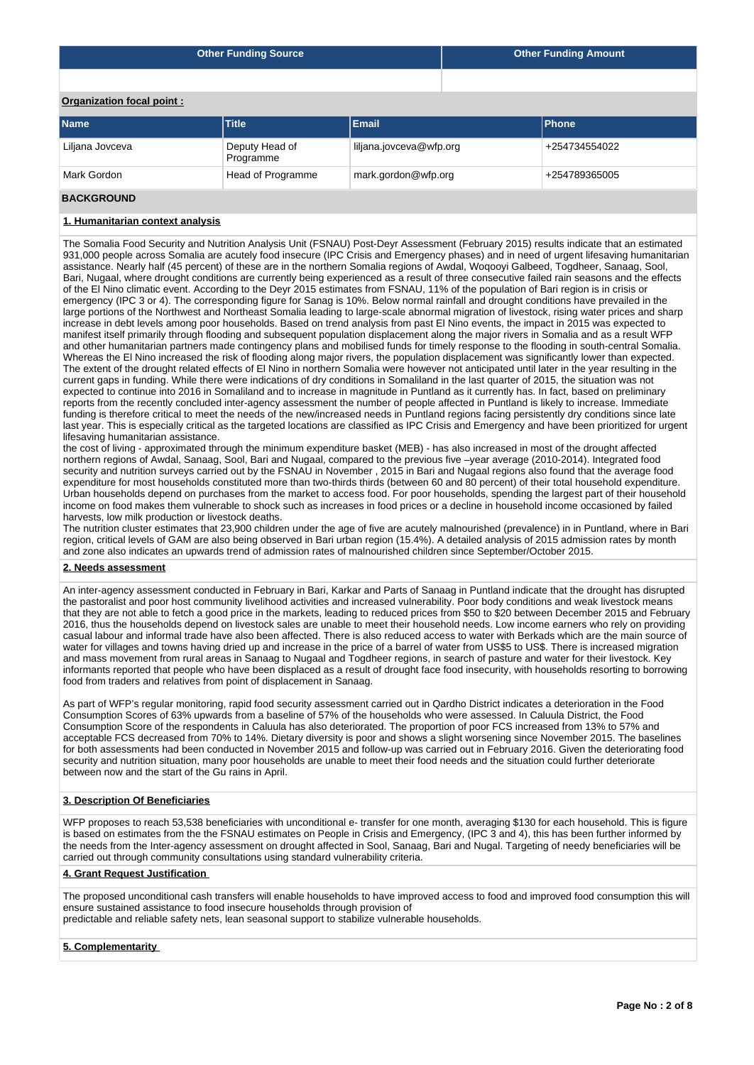|                           | <b>Other Funding Source</b> | <b>Other Funding Amount</b> |  |               |  |  |  |  |  |  |
|---------------------------|-----------------------------|-----------------------------|--|---------------|--|--|--|--|--|--|
|                           |                             |                             |  |               |  |  |  |  |  |  |
| Organization focal point: |                             |                             |  |               |  |  |  |  |  |  |
| <b>Name</b>               | <b>Title</b>                | Email                       |  | <b>Phone</b>  |  |  |  |  |  |  |
| Liljana Jovceva           | Deputy Head of<br>Programme | liljana.jovceva@wfp.org     |  | +254734554022 |  |  |  |  |  |  |
| Mark Gordon               | Head of Programme           | mark.gordon@wfp.org         |  | +254789365005 |  |  |  |  |  |  |

#### **BACKGROUND**

#### **1. Humanitarian context analysis**

The Somalia Food Security and Nutrition Analysis Unit (FSNAU) Post-Deyr Assessment (February 2015) results indicate that an estimated 931,000 people across Somalia are acutely food insecure (IPC Crisis and Emergency phases) and in need of urgent lifesaving humanitarian assistance. Nearly half (45 percent) of these are in the northern Somalia regions of Awdal, Woqooyi Galbeed, Togdheer, Sanaag, Sool, Bari, Nugaal, where drought conditions are currently being experienced as a result of three consecutive failed rain seasons and the effects of the El Nino climatic event. According to the Deyr 2015 estimates from FSNAU, 11% of the population of Bari region is in crisis or emergency (IPC 3 or 4). The corresponding figure for Sanag is 10%. Below normal rainfall and drought conditions have prevailed in the large portions of the Northwest and Northeast Somalia leading to large-scale abnormal migration of livestock, rising water prices and sharp increase in debt levels among poor households. Based on trend analysis from past El Nino events, the impact in 2015 was expected to manifest itself primarily through flooding and subsequent population displacement along the major rivers in Somalia and as a result WFP and other humanitarian partners made contingency plans and mobilised funds for timely response to the flooding in south-central Somalia. Whereas the El Nino increased the risk of flooding along major rivers, the population displacement was significantly lower than expected. The extent of the drought related effects of El Nino in northern Somalia were however not anticipated until later in the year resulting in the current gaps in funding. While there were indications of dry conditions in Somaliland in the last quarter of 2015, the situation was not expected to continue into 2016 in Somaliland and to increase in magnitude in Puntland as it currently has. In fact, based on preliminary reports from the recently concluded inter-agency assessment the number of people affected in Puntland is likely to increase. Immediate funding is therefore critical to meet the needs of the new/increased needs in Puntland regions facing persistently dry conditions since late last year. This is especially critical as the targeted locations are classified as IPC Crisis and Emergency and have been prioritized for urgent lifesaving humanitarian assistance.

the cost of living - approximated through the minimum expenditure basket (MEB) - has also increased in most of the drought affected northern regions of Awdal, Sanaag, Sool, Bari and Nugaal, compared to the previous five –year average (2010-2014). Integrated food security and nutrition surveys carried out by the FSNAU in November , 2015 in Bari and Nugaal regions also found that the average food expenditure for most households constituted more than two-thirds thirds (between 60 and 80 percent) of their total household expenditure. Urban households depend on purchases from the market to access food. For poor households, spending the largest part of their household income on food makes them vulnerable to shock such as increases in food prices or a decline in household income occasioned by failed harvests, low milk production or livestock deaths.

The nutrition cluster estimates that 23,900 children under the age of five are acutely malnourished (prevalence) in in Puntland, where in Bari region, critical levels of GAM are also being observed in Bari urban region (15.4%). A detailed analysis of 2015 admission rates by month and zone also indicates an upwards trend of admission rates of malnourished children since September/October 2015.

#### **2. Needs assessment**

An inter-agency assessment conducted in February in Bari, Karkar and Parts of Sanaag in Puntland indicate that the drought has disrupted the pastoralist and poor host community livelihood activities and increased vulnerability. Poor body conditions and weak livestock means that they are not able to fetch a good price in the markets, leading to reduced prices from \$50 to \$20 between December 2015 and February 2016, thus the households depend on livestock sales are unable to meet their household needs. Low income earners who rely on providing casual labour and informal trade have also been affected. There is also reduced access to water with Berkads which are the main source of water for villages and towns having dried up and increase in the price of a barrel of water from US\$5 to US\$. There is increased migration and mass movement from rural areas in Sanaag to Nugaal and Togdheer regions, in search of pasture and water for their livestock. Key informants reported that people who have been displaced as a result of drought face food insecurity, with households resorting to borrowing food from traders and relatives from point of displacement in Sanaag.

As part of WFP's regular monitoring, rapid food security assessment carried out in Qardho District indicates a deterioration in the Food Consumption Scores of 63% upwards from a baseline of 57% of the households who were assessed. In Caluula District, the Food Consumption Score of the respondents in Caluula has also deteriorated. The proportion of poor FCS increased from 13% to 57% and acceptable FCS decreased from 70% to 14%. Dietary diversity is poor and shows a slight worsening since November 2015. The baselines for both assessments had been conducted in November 2015 and follow-up was carried out in February 2016. Given the deteriorating food security and nutrition situation, many poor households are unable to meet their food needs and the situation could further deteriorate between now and the start of the Gu rains in April.

#### **3. Description Of Beneficiaries**

WFP proposes to reach 53,538 beneficiaries with unconditional e- transfer for one month, averaging \$130 for each household. This is figure is based on estimates from the the FSNAU estimates on People in Crisis and Emergency, (IPC 3 and 4), this has been further informed by the needs from the Inter-agency assessment on drought affected in Sool, Sanaag, Bari and Nugal. Targeting of needy beneficiaries will be carried out through community consultations using standard vulnerability criteria.

### **4. Grant Request Justification**

The proposed unconditional cash transfers will enable households to have improved access to food and improved food consumption this will ensure sustained assistance to food insecure households through provision of predictable and reliable safety nets, lean seasonal support to stabilize vulnerable households.

#### **5. Complementarity**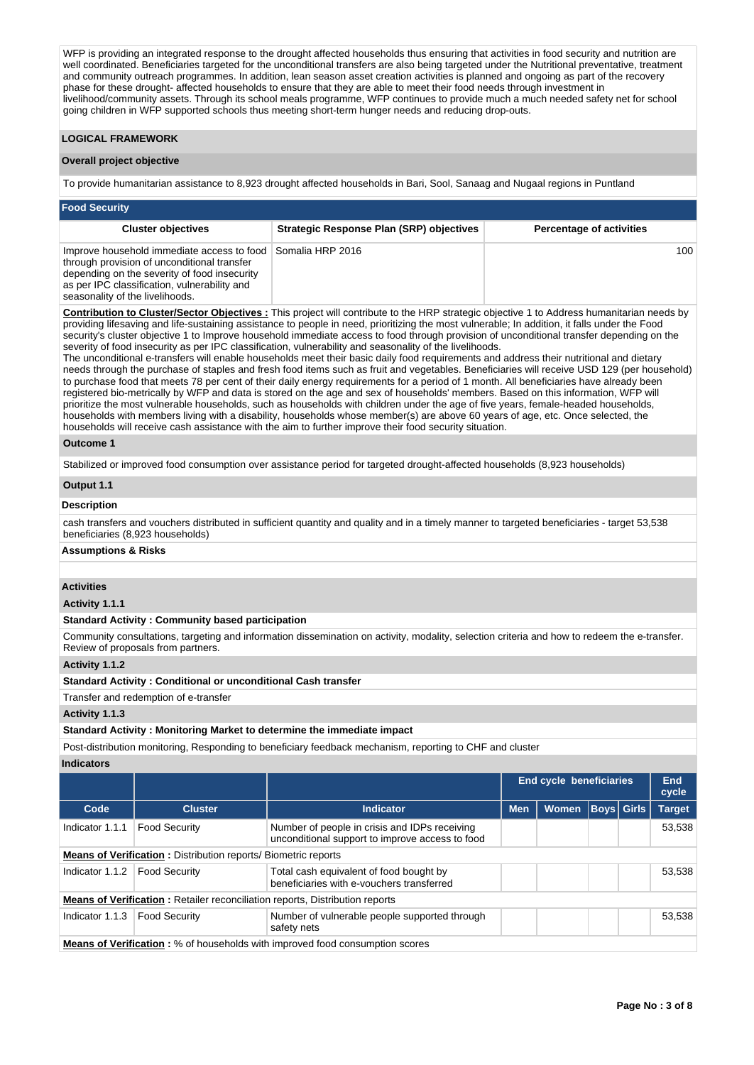WFP is providing an integrated response to the drought affected households thus ensuring that activities in food security and nutrition are well coordinated. Beneficiaries targeted for the unconditional transfers are also being targeted under the Nutritional preventative, treatment and community outreach programmes. In addition, lean season asset creation activities is planned and ongoing as part of the recovery phase for these drought- affected households to ensure that they are able to meet their food needs through investment in livelihood/community assets. Through its school meals programme, WFP continues to provide much a much needed safety net for school going children in WFP supported schools thus meeting short-term hunger needs and reducing drop-outs.

# **LOGICAL FRAMEWORK**

# **Overall project objective**

To provide humanitarian assistance to 8,923 drought affected households in Bari, Sool, Sanaag and Nugaal regions in Puntland

| <b>Food Security</b>                                                                                                                                                                                                                          |                                                 |                                 |  |  |  |  |  |  |  |  |  |
|-----------------------------------------------------------------------------------------------------------------------------------------------------------------------------------------------------------------------------------------------|-------------------------------------------------|---------------------------------|--|--|--|--|--|--|--|--|--|
| <b>Cluster objectives</b>                                                                                                                                                                                                                     | <b>Strategic Response Plan (SRP) objectives</b> | <b>Percentage of activities</b> |  |  |  |  |  |  |  |  |  |
| Improve household immediate access to food Somalia HRP 2016<br>through provision of unconditional transfer<br>depending on the severity of food insecurity<br>as per IPC classification, vulnerability and<br>seasonality of the livelihoods. |                                                 | 100                             |  |  |  |  |  |  |  |  |  |

**Contribution to Cluster/Sector Objectives :** This project will contribute to the HRP strategic objective 1 to Address humanitarian needs by providing lifesaving and life-sustaining assistance to people in need, prioritizing the most vulnerable; In addition, it falls under the Food security's cluster objective 1 to Improve household immediate access to food through provision of unconditional transfer depending on the severity of food insecurity as per IPC classification, vulnerability and seasonality of the livelihoods.

The unconditional e-transfers will enable households meet their basic daily food requirements and address their nutritional and dietary needs through the purchase of staples and fresh food items such as fruit and vegetables. Beneficiaries will receive USD 129 (per household) to purchase food that meets 78 per cent of their daily energy requirements for a period of 1 month. All beneficiaries have already been registered bio-metrically by WFP and data is stored on the age and sex of households' members. Based on this information, WFP will prioritize the most vulnerable households, such as households with children under the age of five years, female-headed households, households with members living with a disability, households whose member(s) are above 60 years of age, etc. Once selected, the households will receive cash assistance with the aim to further improve their food security situation.

### **Outcome 1**

Stabilized or improved food consumption over assistance period for targeted drought-affected households (8,923 households)

# **Output 1.1**

# **Description**

cash transfers and vouchers distributed in sufficient quantity and quality and in a timely manner to targeted beneficiaries - target 53,538 beneficiaries (8,923 households)

# **Assumptions & Risks**

# **Activities**

**Activity 1.1.1** 

### **Standard Activity : Community based participation**

Community consultations, targeting and information dissemination on activity, modality, selection criteria and how to redeem the e-transfer. Review of proposals from partners.

**Activity 1.1.2** 

#### **Standard Activity : Conditional or unconditional Cash transfer**

Transfer and redemption of e-transfer

# **Activity 1.1.3**

**Standard Activity : Monitoring Market to determine the immediate impact**

Post-distribution monitoring, Responding to beneficiary feedback mechanism, reporting to CHF and cluster

#### **Indicators**

|                                                                       |                                                                                     |                                                                                                  | End cycle beneficiaries | <b>End</b><br>cycle |                   |  |               |
|-----------------------------------------------------------------------|-------------------------------------------------------------------------------------|--------------------------------------------------------------------------------------------------|-------------------------|---------------------|-------------------|--|---------------|
| Code                                                                  | <b>Cluster</b>                                                                      | <b>Indicator</b>                                                                                 | <b>Men</b>              | <b>Women</b>        | <b>Boys Girls</b> |  | <b>Target</b> |
| Indicator 1.1.1                                                       | <b>Food Security</b>                                                                | Number of people in crisis and IDPs receiving<br>unconditional support to improve access to food |                         |                     |                   |  | 53,538        |
| <b>Means of Verification:</b> Distribution reports/ Biometric reports |                                                                                     |                                                                                                  |                         |                     |                   |  |               |
| Indicator 1.1.2                                                       | <b>Food Security</b>                                                                | Total cash equivalent of food bought by<br>beneficiaries with e-vouchers transferred             |                         |                     |                   |  | 53,538        |
|                                                                       | <b>Means of Verification:</b> Retailer reconciliation reports, Distribution reports |                                                                                                  |                         |                     |                   |  |               |
| Indicator 1.1.3                                                       | <b>Food Security</b>                                                                | Number of vulnerable people supported through<br>safety nets                                     |                         |                     |                   |  | 53,538        |
|                                                                       |                                                                                     | <b>Means of Verification:</b> % of households with improved food consumption scores              |                         |                     |                   |  |               |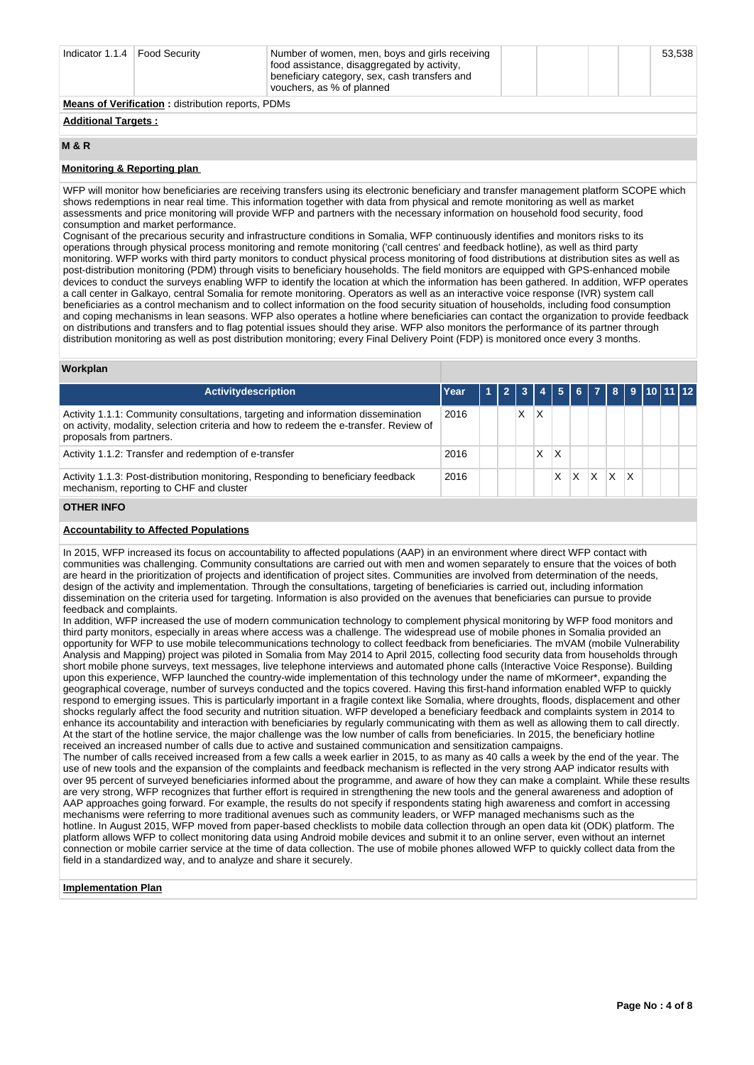| Indicator 1.1.4   Food Security                          |  | Number of women, men, boys and girls receiving<br>food assistance, disaggregated by activity,<br>beneficiary category, sex, cash transfers and<br>vouchers, as % of planned |  |  |  |  | 53,538 |  |  |
|----------------------------------------------------------|--|-----------------------------------------------------------------------------------------------------------------------------------------------------------------------------|--|--|--|--|--------|--|--|
| <b>Means of Verification:</b> distribution reports, PDMs |  |                                                                                                                                                                             |  |  |  |  |        |  |  |
| <b>Additional Targets:</b>                               |  |                                                                                                                                                                             |  |  |  |  |        |  |  |

#### **M & R**

# **Monitoring & Reporting plan**

WFP will monitor how beneficiaries are receiving transfers using its electronic beneficiary and transfer management platform SCOPE which shows redemptions in near real time. This information together with data from physical and remote monitoring as well as market assessments and price monitoring will provide WFP and partners with the necessary information on household food security, food consumption and market performance.

Cognisant of the precarious security and infrastructure conditions in Somalia, WFP continuously identifies and monitors risks to its operations through physical process monitoring and remote monitoring ('call centres' and feedback hotline), as well as third party monitoring. WFP works with third party monitors to conduct physical process monitoring of food distributions at distribution sites as well as post-distribution monitoring (PDM) through visits to beneficiary households. The field monitors are equipped with GPS-enhanced mobile devices to conduct the surveys enabling WFP to identify the location at which the information has been gathered. In addition, WFP operates a call center in Galkayo, central Somalia for remote monitoring. Operators as well as an interactive voice response (IVR) system call beneficiaries as a control mechanism and to collect information on the food security situation of households, including food consumption and coping mechanisms in lean seasons. WFP also operates a hotline where beneficiaries can contact the organization to provide feedback on distributions and transfers and to flag potential issues should they arise. WFP also monitors the performance of its partner through distribution monitoring as well as post distribution monitoring; every Final Delivery Point (FDP) is monitored once every 3 months.

# **Workplan**

| Activitydescription                                                                                                                                                                                   | Year | 1  2  3  4  5  6  7  8  9   <u>10  11  12</u> |   |   |   |                   |  |  |  |
|-------------------------------------------------------------------------------------------------------------------------------------------------------------------------------------------------------|------|-----------------------------------------------|---|---|---|-------------------|--|--|--|
| Activity 1.1.1: Community consultations, targeting and information dissemination<br>on activity, modality, selection criteria and how to redeem the e-transfer. Review of<br>proposals from partners. | 2016 |                                               | X | Χ |   |                   |  |  |  |
| Activity 1.1.2: Transfer and redemption of e-transfer                                                                                                                                                 | 2016 |                                               |   | Χ |   |                   |  |  |  |
| Activity 1.1.3: Post-distribution monitoring, Responding to beneficiary feedback<br>mechanism, reporting to CHF and cluster                                                                           | 2016 |                                               |   |   | X | $ X $ $ X $ $ X $ |  |  |  |
|                                                                                                                                                                                                       |      |                                               |   |   |   |                   |  |  |  |

# **OTHER INFO**

# **Accountability to Affected Populations**

In 2015, WFP increased its focus on accountability to affected populations (AAP) in an environment where direct WFP contact with communities was challenging. Community consultations are carried out with men and women separately to ensure that the voices of both are heard in the prioritization of projects and identification of project sites. Communities are involved from determination of the needs, design of the activity and implementation. Through the consultations, targeting of beneficiaries is carried out, including information dissemination on the criteria used for targeting. Information is also provided on the avenues that beneficiaries can pursue to provide feedback and complaints.

In addition, WFP increased the use of modern communication technology to complement physical monitoring by WFP food monitors and third party monitors, especially in areas where access was a challenge. The widespread use of mobile phones in Somalia provided an opportunity for WFP to use mobile telecommunications technology to collect feedback from beneficiaries. The mVAM (mobile Vulnerability Analysis and Mapping) project was piloted in Somalia from May 2014 to April 2015, collecting food security data from households through short mobile phone surveys, text messages, live telephone interviews and automated phone calls (Interactive Voice Response). Building upon this experience, WFP launched the country-wide implementation of this technology under the name of mKormeer\*, expanding the geographical coverage, number of surveys conducted and the topics covered. Having this first-hand information enabled WFP to quickly respond to emerging issues. This is particularly important in a fragile context like Somalia, where droughts, floods, displacement and other shocks regularly affect the food security and nutrition situation. WFP developed a beneficiary feedback and complaints system in 2014 to enhance its accountability and interaction with beneficiaries by regularly communicating with them as well as allowing them to call directly. At the start of the hotline service, the major challenge was the low number of calls from beneficiaries. In 2015, the beneficiary hotline received an increased number of calls due to active and sustained communication and sensitization campaigns.

The number of calls received increased from a few calls a week earlier in 2015, to as many as 40 calls a week by the end of the year. The use of new tools and the expansion of the complaints and feedback mechanism is reflected in the very strong AAP indicator results with over 95 percent of surveyed beneficiaries informed about the programme, and aware of how they can make a complaint. While these results are very strong, WFP recognizes that further effort is required in strengthening the new tools and the general awareness and adoption of AAP approaches going forward. For example, the results do not specify if respondents stating high awareness and comfort in accessing mechanisms were referring to more traditional avenues such as community leaders, or WFP managed mechanisms such as the hotline. In August 2015, WFP moved from paper-based checklists to mobile data collection through an open data kit (ODK) platform. The platform allows WFP to collect monitoring data using Android mobile devices and submit it to an online server, even without an internet connection or mobile carrier service at the time of data collection. The use of mobile phones allowed WFP to quickly collect data from the field in a standardized way, and to analyze and share it securely.

# **Implementation Plan**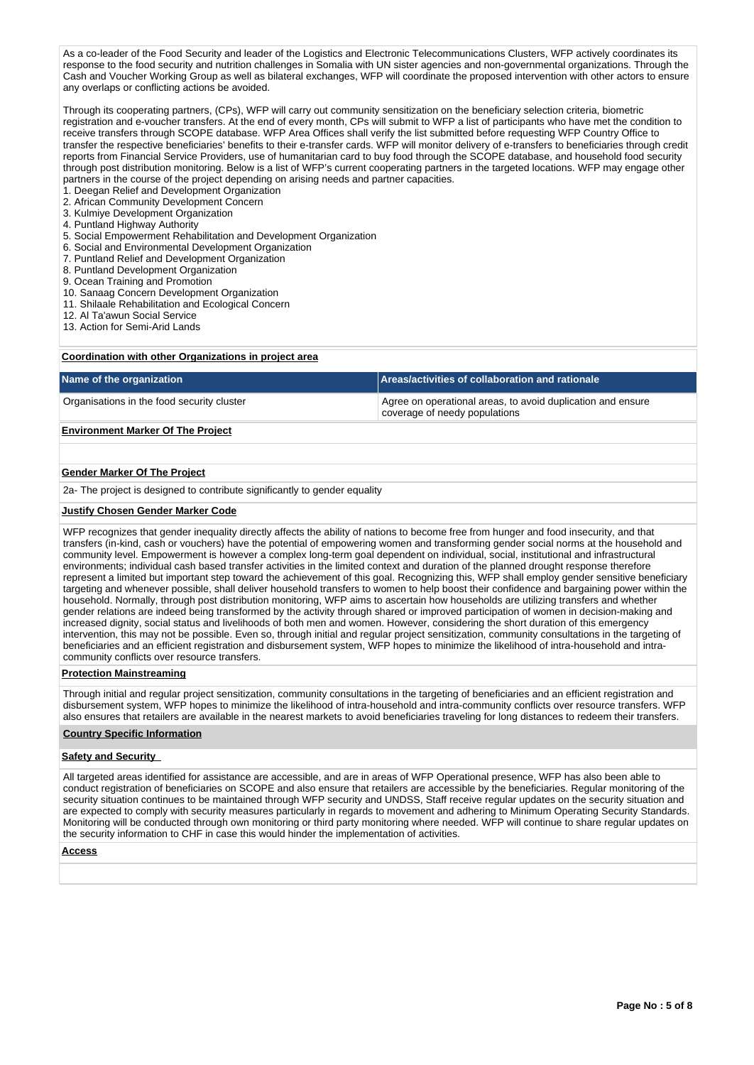As a co-leader of the Food Security and leader of the Logistics and Electronic Telecommunications Clusters, WFP actively coordinates its response to the food security and nutrition challenges in Somalia with UN sister agencies and non-governmental organizations. Through the Cash and Voucher Working Group as well as bilateral exchanges, WFP will coordinate the proposed intervention with other actors to ensure any overlaps or conflicting actions be avoided.

Through its cooperating partners, (CPs), WFP will carry out community sensitization on the beneficiary selection criteria, biometric registration and e-voucher transfers. At the end of every month, CPs will submit to WFP a list of participants who have met the condition to receive transfers through SCOPE database. WFP Area Offices shall verify the list submitted before requesting WFP Country Office to transfer the respective beneficiaries' benefits to their e-transfer cards. WFP will monitor delivery of e-transfers to beneficiaries through credit reports from Financial Service Providers, use of humanitarian card to buy food through the SCOPE database, and household food security through post distribution monitoring. Below is a list of WFP's current cooperating partners in the targeted locations. WFP may engage other partners in the course of the project depending on arising needs and partner capacities.

- 1. Deegan Relief and Development Organization
- 2. African Community Development Concern
- 3. Kulmiye Development Organization
- 4. Puntland Highway Authority
- 5. Social Empowerment Rehabilitation and Development Organization
- 6. Social and Environmental Development Organization
- 7. Puntland Relief and Development Organization
- 8. Puntland Development Organization
- 9. Ocean Training and Promotion
- 10. Sanaag Concern Development Organization
- 11. Shilaale Rehabilitation and Ecological Concern
- 12. Al Ta'awun Social Service
- 13. Action for Semi-Arid Lands

# **Coordination with other Organizations in project area**

| Name of the organization                   | Areas/activities of collaboration and rationale                                              |  |  |  |  |  |
|--------------------------------------------|----------------------------------------------------------------------------------------------|--|--|--|--|--|
| Organisations in the food security cluster | Agree on operational areas, to avoid duplication and ensure<br>coverage of needy populations |  |  |  |  |  |

# **Environment Marker Of The Project**

#### **Gender Marker Of The Project**

2a- The project is designed to contribute significantly to gender equality

#### **Justify Chosen Gender Marker Code**

WFP recognizes that gender inequality directly affects the ability of nations to become free from hunger and food insecurity, and that transfers (in-kind, cash or vouchers) have the potential of empowering women and transforming gender social norms at the household and community level. Empowerment is however a complex long-term goal dependent on individual, social, institutional and infrastructural environments; individual cash based transfer activities in the limited context and duration of the planned drought response therefore represent a limited but important step toward the achievement of this goal. Recognizing this, WFP shall employ gender sensitive beneficiary targeting and whenever possible, shall deliver household transfers to women to help boost their confidence and bargaining power within the household. Normally, through post distribution monitoring, WFP aims to ascertain how households are utilizing transfers and whether gender relations are indeed being transformed by the activity through shared or improved participation of women in decision-making and increased dignity, social status and livelihoods of both men and women. However, considering the short duration of this emergency intervention, this may not be possible. Even so, through initial and regular project sensitization, community consultations in the targeting of beneficiaries and an efficient registration and disbursement system, WFP hopes to minimize the likelihood of intra-household and intracommunity conflicts over resource transfers.

### **Protection Mainstreaming**

Through initial and regular project sensitization, community consultations in the targeting of beneficiaries and an efficient registration and disbursement system, WFP hopes to minimize the likelihood of intra-household and intra-community conflicts over resource transfers. WFP also ensures that retailers are available in the nearest markets to avoid beneficiaries traveling for long distances to redeem their transfers.

#### **Country Specific Information**

## **Safety and Security**

All targeted areas identified for assistance are accessible, and are in areas of WFP Operational presence, WFP has also been able to conduct registration of beneficiaries on SCOPE and also ensure that retailers are accessible by the beneficiaries. Regular monitoring of the security situation continues to be maintained through WFP security and UNDSS, Staff receive regular updates on the security situation and are expected to comply with security measures particularly in regards to movement and adhering to Minimum Operating Security Standards. Monitoring will be conducted through own monitoring or third party monitoring where needed. WFP will continue to share regular updates on the security information to CHF in case this would hinder the implementation of activities.

#### **Access**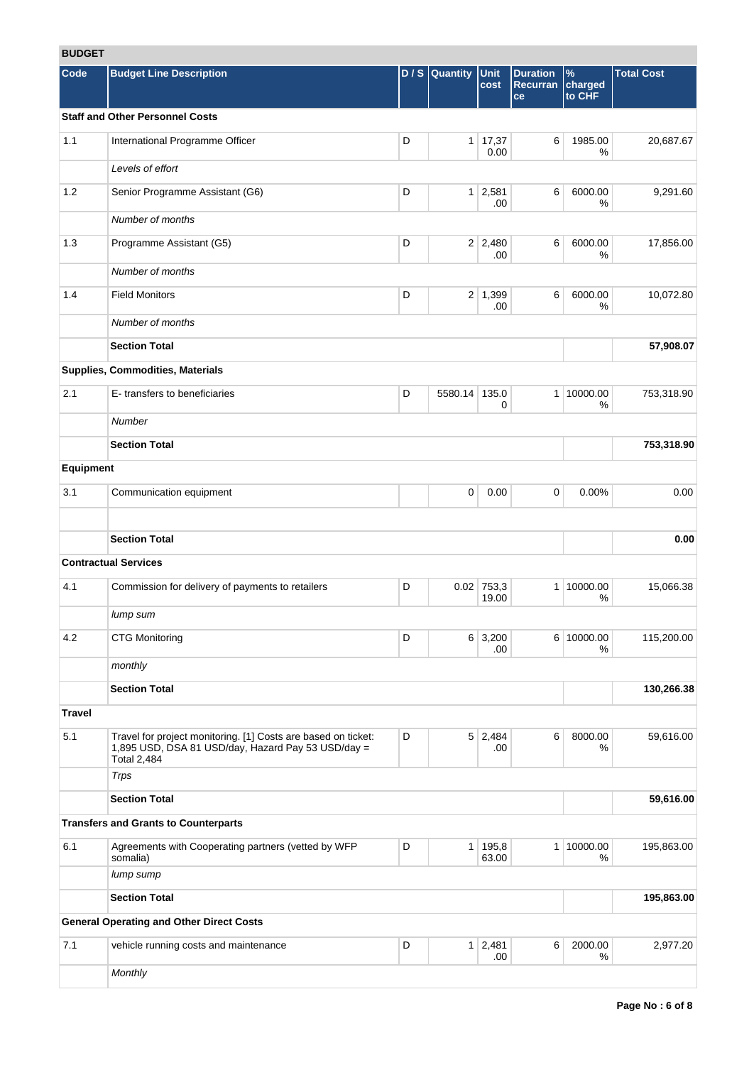# **BUDGET**

| ופטעס         |                                                                                                                                           |                                 |               |                       |                                          |                           |                   |  |
|---------------|-------------------------------------------------------------------------------------------------------------------------------------------|---------------------------------|---------------|-----------------------|------------------------------------------|---------------------------|-------------------|--|
| Code          | <b>Budget Line Description</b>                                                                                                            | D/S                             | Quantity      | <b>Unit</b><br>cost   | <b>Duration</b><br><b>Recurran</b><br>ce | $\%$<br>charged<br>to CHF | <b>Total Cost</b> |  |
|               | <b>Staff and Other Personnel Costs</b>                                                                                                    |                                 |               |                       |                                          |                           |                   |  |
| 1.1           | International Programme Officer                                                                                                           | D                               |               | 1   17,37<br>0.00     | 6                                        | 1985.00<br>%              | 20,687.67         |  |
|               | Levels of effort                                                                                                                          |                                 |               |                       |                                          |                           |                   |  |
| 1.2           | Senior Programme Assistant (G6)                                                                                                           | D                               |               | $1 \mid 2,581$<br>.00 | 6                                        | 6000.00<br>%              | 9,291.60          |  |
|               | Number of months                                                                                                                          |                                 |               |                       |                                          |                           |                   |  |
| 1.3           | Programme Assistant (G5)                                                                                                                  | D                               |               | $2 \mid 2,480$<br>.00 | 6                                        | 6000.00<br>%              | 17,856.00         |  |
|               | Number of months                                                                                                                          |                                 |               |                       |                                          |                           |                   |  |
| 1.4           | <b>Field Monitors</b>                                                                                                                     | D<br>$2 \mid 1,399$<br>6<br>.00 |               |                       |                                          |                           |                   |  |
|               | Number of months                                                                                                                          |                                 |               |                       |                                          |                           |                   |  |
|               | <b>Section Total</b>                                                                                                                      |                                 |               |                       |                                          |                           | 57,908.07         |  |
|               | Supplies, Commodities, Materials                                                                                                          |                                 |               |                       |                                          |                           |                   |  |
| 2.1           | E-transfers to beneficiaries                                                                                                              | D                               | 5580.14 135.0 | 0                     | $\mathbf{1}$                             | 10000.00<br>%             | 753,318.90        |  |
|               | Number                                                                                                                                    |                                 |               |                       |                                          |                           |                   |  |
|               | <b>Section Total</b>                                                                                                                      |                                 |               |                       |                                          |                           | 753,318.90        |  |
| Equipment     |                                                                                                                                           |                                 |               |                       |                                          |                           |                   |  |
| 3.1           | Communication equipment                                                                                                                   |                                 | $\mathbf 0$   | 0.00                  | $\mathbf 0$                              | 0.00%                     | 0.00              |  |
|               | <b>Section Total</b>                                                                                                                      |                                 |               |                       |                                          |                           | 0.00              |  |
|               | <b>Contractual Services</b>                                                                                                               |                                 |               |                       |                                          |                           |                   |  |
| 4.1           | Commission for delivery of payments to retailers                                                                                          | D                               |               | $0.02$ 753,3          | 1                                        | 10000.00                  | 15,066.38         |  |
|               |                                                                                                                                           |                                 |               | 19.00                 |                                          | %                         |                   |  |
|               | lump sum                                                                                                                                  |                                 |               |                       |                                          |                           |                   |  |
| 4.2           | <b>CTG Monitoring</b>                                                                                                                     | D                               |               | $6 \mid 3,200$<br>.00 |                                          | 6 10000.00<br>℅           | 115,200.00        |  |
|               | monthly                                                                                                                                   |                                 |               |                       |                                          |                           |                   |  |
|               | <b>Section Total</b>                                                                                                                      |                                 |               |                       |                                          |                           | 130,266.38        |  |
| <b>Travel</b> |                                                                                                                                           |                                 |               |                       |                                          |                           |                   |  |
| 5.1           | Travel for project monitoring. [1] Costs are based on ticket:<br>1,895 USD, DSA 81 USD/day, Hazard Pay 53 USD/day =<br><b>Total 2,484</b> | D                               |               | $5 \mid 2,484$<br>.00 | 6                                        | 8000.00<br>%              | 59,616.00         |  |
|               | Trps                                                                                                                                      |                                 |               |                       |                                          |                           |                   |  |
|               | <b>Section Total</b>                                                                                                                      |                                 |               |                       |                                          |                           | 59,616.00         |  |
|               | <b>Transfers and Grants to Counterparts</b>                                                                                               |                                 |               |                       |                                          |                           |                   |  |
| 6.1           | Agreements with Cooperating partners (vetted by WFP<br>somalia)                                                                           | D                               |               | 1 195,8<br>63.00      | 1                                        | 10000.00<br>℅             | 195,863.00        |  |
|               | lump sump                                                                                                                                 |                                 |               |                       |                                          |                           |                   |  |
|               | <b>Section Total</b>                                                                                                                      |                                 |               |                       |                                          |                           | 195,863.00        |  |
|               | <b>General Operating and Other Direct Costs</b>                                                                                           |                                 |               |                       |                                          |                           |                   |  |
| 7.1           | vehicle running costs and maintenance                                                                                                     | D                               |               | $1 \mid 2,481$<br>.00 | 6                                        | 2000.00<br>℅              | 2,977.20          |  |
|               | Monthly                                                                                                                                   |                                 |               |                       |                                          |                           |                   |  |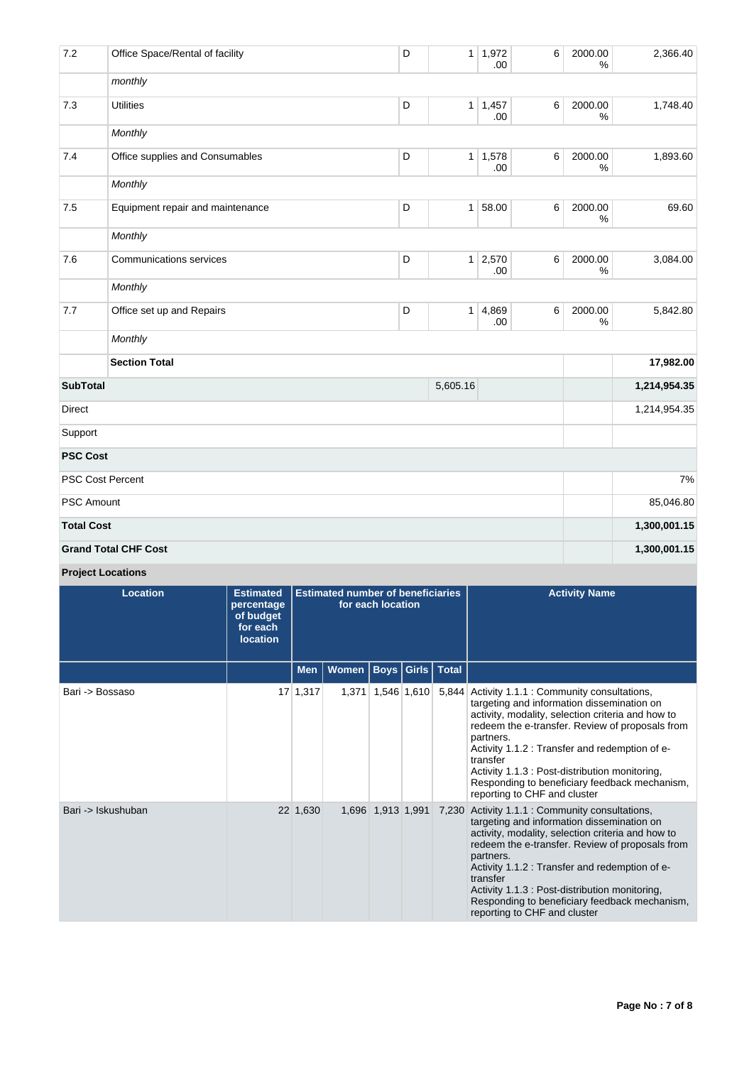| 7.2               | Office Space/Rental of facility  | D | 1 <sup>1</sup> | 1,972<br>.00          | 6 | 2000.00<br>% | 2,366.40     |
|-------------------|----------------------------------|---|----------------|-----------------------|---|--------------|--------------|
|                   | monthly                          |   |                |                       |   |              |              |
| 7.3               | <b>Utilities</b>                 | D | 1              | 1,457<br>.00          | 6 | 2000.00<br>% | 1,748.40     |
|                   | Monthly                          |   |                |                       |   |              |              |
| 7.4               | Office supplies and Consumables  | D |                | $1 \mid 1,578$<br>.00 | 6 | 2000.00<br>% | 1,893.60     |
|                   | Monthly                          |   |                |                       |   |              |              |
| 7.5               | Equipment repair and maintenance | D | 1              | 58.00                 | 6 | 2000.00<br>% | 69.60        |
|                   | Monthly                          |   |                |                       |   |              |              |
| 7.6               | <b>Communications services</b>   | D |                | $1 \mid 2,570$<br>.00 | 6 | 2000.00<br>% | 3,084.00     |
|                   | Monthly                          |   |                |                       |   |              |              |
| 7.7               | Office set up and Repairs        | D | 1              | 4,869<br>.00          | 6 | 2000.00<br>% | 5,842.80     |
|                   | Monthly                          |   |                |                       |   |              |              |
|                   | <b>Section Total</b>             |   |                |                       |   |              | 17,982.00    |
| <b>SubTotal</b>   |                                  |   | 5,605.16       |                       |   |              | 1,214,954.35 |
| <b>Direct</b>     |                                  |   |                |                       |   |              | 1,214,954.35 |
| Support           |                                  |   |                |                       |   |              |              |
| <b>PSC Cost</b>   |                                  |   |                |                       |   |              |              |
|                   | <b>PSC Cost Percent</b>          |   |                |                       |   |              | 7%           |
| PSC Amount        |                                  |   |                | 85,046.80             |   |              |              |
| <b>Total Cost</b> |                                  |   |                |                       |   |              | 1,300,001.15 |
|                   | <b>Grand Total CHF Cost</b>      |   |                |                       |   |              | 1,300,001.15 |

**Project Locations**

| <b>Location</b>    | <b>Estimated</b><br>percentage<br>of budget<br>for each<br><b>location</b> |            | <b>Estimated number of beneficiaries</b> | for each location |                         | <b>Activity Name</b>                                                                                                                                                                                                                                                                                                                                                                                                |
|--------------------|----------------------------------------------------------------------------|------------|------------------------------------------|-------------------|-------------------------|---------------------------------------------------------------------------------------------------------------------------------------------------------------------------------------------------------------------------------------------------------------------------------------------------------------------------------------------------------------------------------------------------------------------|
|                    |                                                                            | <b>Men</b> | Women                                    |                   | <b>Boys Girls Total</b> |                                                                                                                                                                                                                                                                                                                                                                                                                     |
| Bari -> Bossaso    |                                                                            | 17 1,317   | 1.371                                    |                   | 1,546 1,610             | 5,844 Activity 1.1.1 : Community consultations,<br>targeting and information dissemination on<br>activity, modality, selection criteria and how to<br>redeem the e-transfer. Review of proposals from<br>partners.<br>Activity 1.1.2 : Transfer and redemption of e-<br>transfer<br>Activity 1.1.3 : Post-distribution monitoring,<br>Responding to beneficiary feedback mechanism,<br>reporting to CHF and cluster |
| Bari -> Iskushuban |                                                                            | 22 1,630   |                                          | 1,696 1,913 1,991 |                         | 7,230 Activity 1.1.1 : Community consultations,<br>targeting and information dissemination on<br>activity, modality, selection criteria and how to<br>redeem the e-transfer. Review of proposals from<br>partners.<br>Activity 1.1.2 : Transfer and redemption of e-<br>transfer<br>Activity 1.1.3 : Post-distribution monitoring,<br>Responding to beneficiary feedback mechanism,<br>reporting to CHF and cluster |